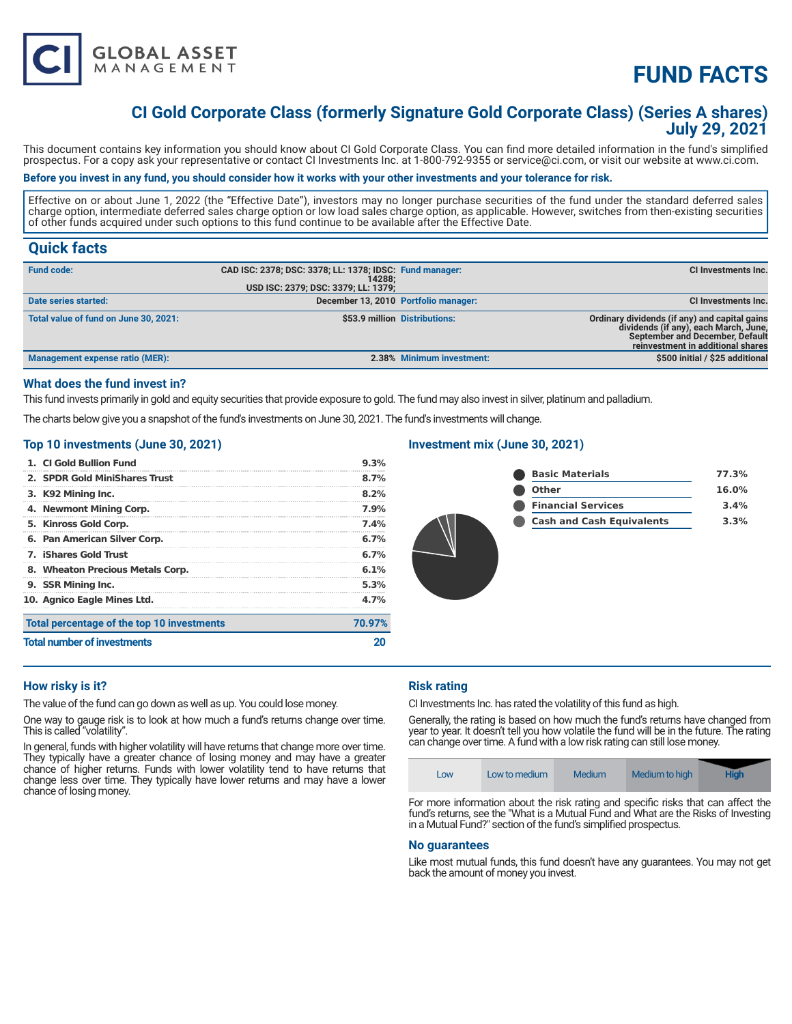

# **FUND FACTS**

# **CI Gold Corporate Class (formerly Signature Gold Corporate Class) (Series A shares) July 29, 2021**

This document contains key information you should know about CI Gold Corporate Class. You can find more detailed information in the fund's simplified prospectus. For a copy ask your representative or contact CI Investments Inc. at 1-800-792-9355 or service@ci.com, or visit our website at www.ci.com.

### **Before you invest in any fund, you should consider how it works with your other investments and your tolerance for risk.**

Effective on or about June 1, 2022 (the "Effective Date"), investors may no longer purchase securities of the fund under the standard deferred sales charge option, intermediate deferred sales charge option or low load sales charge option, as applicable. However, switches from then-existing securities of other funds acquired under such options to this fund continue to be available after the Effective Date.

# **Quick facts**

| <b>Fund code:</b>                     | CAD ISC: 2378; DSC: 3378; LL: 1378; IDSC: Fund manager:<br>14288:<br>USD ISC: 2379; DSC: 3379; LL: 1379; |                               | CI Investments Inc.                                                                                                                                            |
|---------------------------------------|----------------------------------------------------------------------------------------------------------|-------------------------------|----------------------------------------------------------------------------------------------------------------------------------------------------------------|
| Date series started:                  | December 13, 2010 Portfolio manager:                                                                     |                               | CI Investments Inc.                                                                                                                                            |
| Total value of fund on June 30, 2021: |                                                                                                          | \$53.9 million Distributions: | Ordinary dividends (if any) and capital gains<br>dividends (if any), each March, June,<br>September and December, Default<br>reinvestment in additional shares |
| Management expense ratio (MER):       |                                                                                                          | 2.38% Minimum investment:     | \$500 initial / \$25 additional                                                                                                                                |

## **What does the fund invest in?**

This fund invests primarily in gold and equity securities that provide exposure to gold. The fund may also invest in silver, platinum and palladium.

The charts below give you a snapshot of the fund's investments on June 30, 2021. The fund's investments will change.

# **Top 10 investments (June 30, 2021)**

| 1. CI Gold Bullion Fund                    | 9.3%    |
|--------------------------------------------|---------|
| 2. SPDR Gold MiniShares Trust              | 8.7%    |
| 3. K92 Mining Inc.                         | $8.2\%$ |
| 4. Newmont Mining Corp.                    | 7.9%    |
| 5. Kinross Gold Corp.                      | 7.4%    |
| 6. Pan American Silver Corp.               | 6.7%    |
| 7. iShares Gold Trust                      | 6.7%    |
| 8. Wheaton Precious Metals Corp.           | 6.1%    |
| 9. SSR Mining Inc.                         | 5.3%    |
| 10. Agnico Eagle Mines Ltd.                | 4.7%    |
| Total percentage of the top 10 investments | 70.97%  |
| <b>Total number of investments</b>         |         |

## **Investment mix (June 30, 2021)**

| <b>Basic Materials</b>           | 77.3%    |
|----------------------------------|----------|
| <b>Other</b>                     | $16.0\%$ |
| <b>Financial Services</b>        | 3.4%     |
| <b>Cash and Cash Equivalents</b> | 3.3%     |
|                                  |          |

#### **How risky is it?**

The value of the fund can go down as well as up. You could lose money.

One way to gauge risk is to look at how much a fund's returns change over time. This is called "volatility".

In general, funds with higher volatility will have returns that change more over time. They typically have a greater chance of losing money and may have a greater chance of higher returns. Funds with lower volatility tend to have returns that change less over time. They typically have lower returns and may have a lower chance of losing money.

#### **Risk rating**

CI Investments Inc. has rated the volatility of this fund as high.

Generally, the rating is based on how much the fund's returns have changed from year to year. It doesn't tell you how volatile the fund will be in the future. The rating can change over time. A fund with a low risk rating can still lose money.

| Low | Low to medium | Medium | Medium to high | <b>High</b> |
|-----|---------------|--------|----------------|-------------|
|     |               |        |                |             |

For more information about the risk rating and specific risks that can affect the fund's returns, see the "What is a Mutual Fund and What are the Risks of Investing in a Mutual Fund?" section of the fund's simplified prospectus.

#### **No guarantees**

Like most mutual funds, this fund doesn't have any guarantees. You may not get back the amount of money you invest.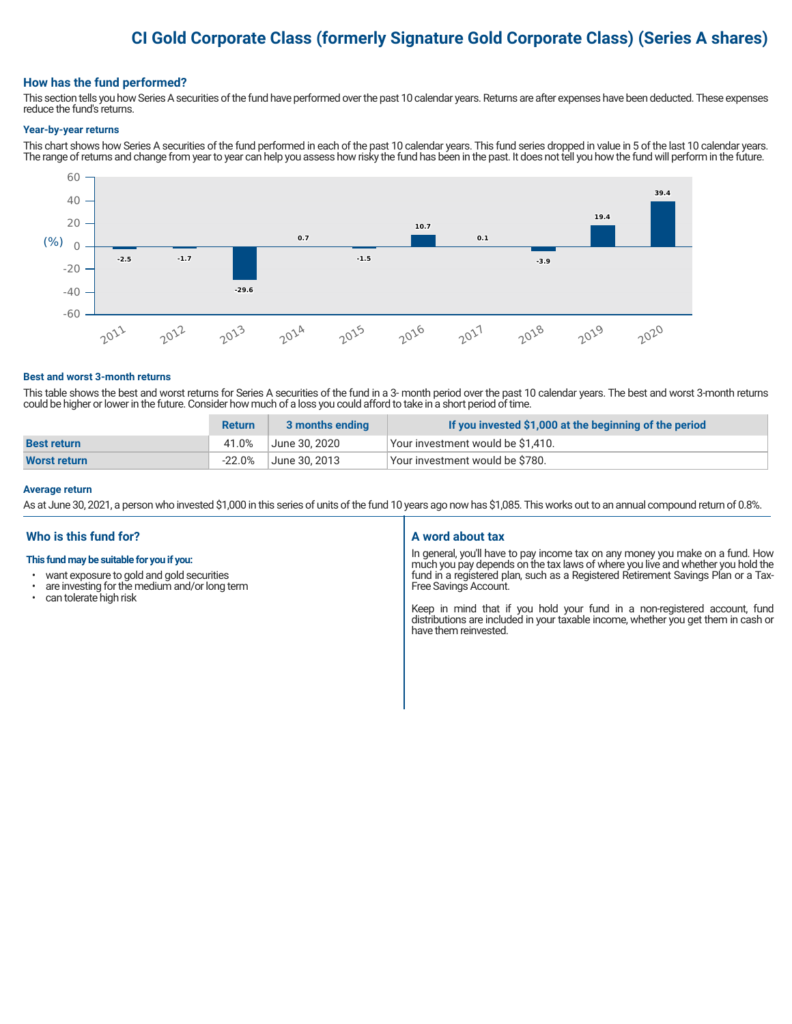# **CI Gold Corporate Class (formerly Signature Gold Corporate Class) (Series A shares)**

#### **How has the fund performed?**

This section tells you how Series A securities of the fund have performed over the past 10 calendar years. Returns are after expenses have been deducted. These expenses reduce the fund's returns.

#### **Year-by-year returns**

This chart shows how Series A securities of the fund performed in each of the past 10 calendar years. This fund series dropped in value in 5 of the last 10 calendar years. The range of returns and change from year to year can help you assess how risky the fund has been in the past. It does not tell you how the fund will perform in the future.



#### **Best and worst 3-month returns**

This table shows the best and worst returns for Series A securities of the fund in a 3- month period over the past 10 calendar years. The best and worst 3-month returns could be higher or lower in the future. Consider how much of a loss you could afford to take in a short period of time.

|                    | <b>Return</b> | 3 months ending | If you invested \$1,000 at the beginning of the period |
|--------------------|---------------|-----------------|--------------------------------------------------------|
| <b>Best return</b> | 41.0%         | June 30, 2020   | Vour investment would be \$1,410.                      |
| Worst return       | $-22.0%$      | June 30. 2013   | Vour investment would be \$780.                        |

#### **Average return**

As at June 30, 2021, a person who invested \$1,000 in this series of units of the fund 10 years ago now has \$1,085. This works out to an annual compound return of 0.8%.

### **Who is this fund for?**

#### **This fund may be suitable for you if you:**

- want exposure to gold and gold securities
- $\cdot$  are investing for the medium and/or long term<br> $\cdot$  can tolerate bigh risk
- can tolerate high risk

#### **A word about tax**

In general, you'll have to pay income tax on any money you make on a fund. How much you pay depends on the tax laws of where you live and whether you hold the fund in a registered plan, such as a Registered Retirement Savings Plan or a Tax-Free Savings Account.

Keep in mind that if you hold your fund in a non-registered account, fund distributions are included in your taxable income, whether you get them in cash or have them reinvested.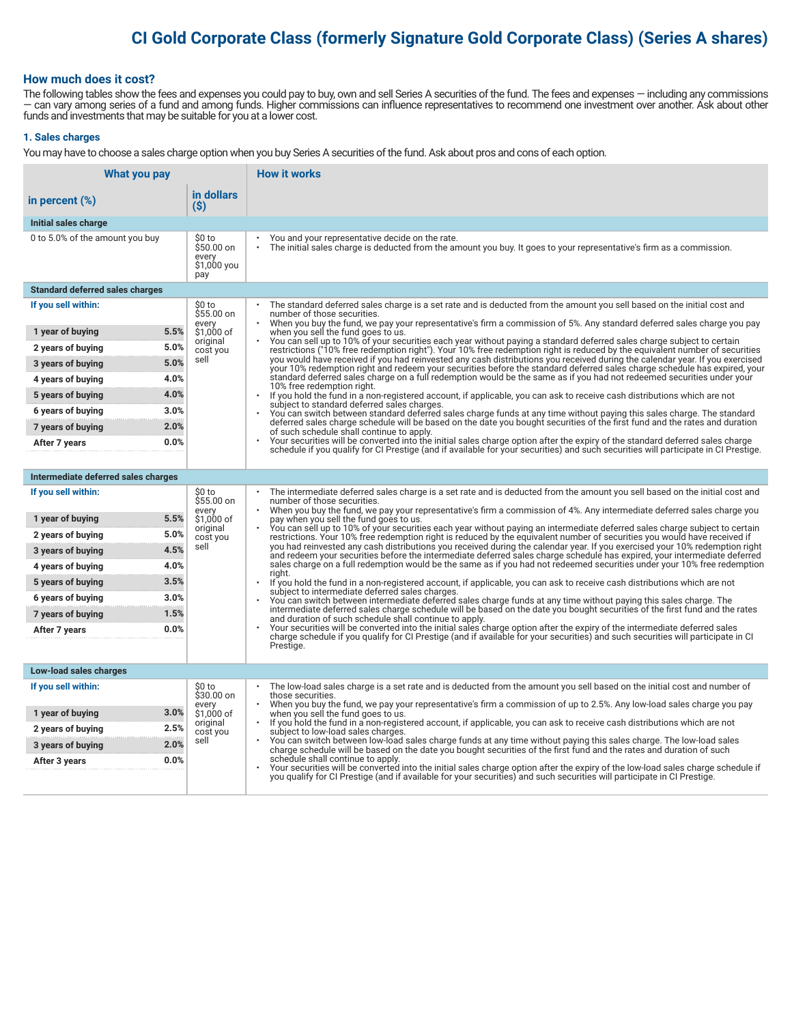# **CI Gold Corporate Class (formerly Signature Gold Corporate Class) (Series A shares)**

### **How much does it cost?**

The following tables show the fees and expenses you could pay to buy, own and sell Series A securities of the fund. The fees and expenses — including any commissions — can vary among series of a fund and among funds. Higher commissions can influence representatives to recommend one investment over another. Ask about other funds and investments that may be suitable for you at a lower cost.

#### **1. Sales charges**

You may have to choose a sales charge option when you buy Series A securities of the fund. Ask about pros and cons of each option.

| What you pay                                   |                                                     | <b>How it works</b>                                                                                                                                                                                                                                                                   |
|------------------------------------------------|-----------------------------------------------------|---------------------------------------------------------------------------------------------------------------------------------------------------------------------------------------------------------------------------------------------------------------------------------------|
| in percent $(\%)$                              | in dollars<br>(S)                                   |                                                                                                                                                                                                                                                                                       |
| Initial sales charge                           |                                                     |                                                                                                                                                                                                                                                                                       |
| 0 to 5.0% of the amount you buy                | \$0 to<br>\$50.00 on<br>every<br>\$1,000 you<br>pay | You and your representative decide on the rate.<br>The initial sales charge is deducted from the amount you buy. It goes to your representative's firm as a commission.                                                                                                               |
| <b>Standard deferred sales charges</b>         |                                                     |                                                                                                                                                                                                                                                                                       |
| If you sell within:                            | \$0 to<br>$$55.00$ on                               | The standard deferred sales charge is a set rate and is deducted from the amount you sell based on the initial cost and<br>number of those securities.                                                                                                                                |
| 5.5%<br>1 year of buying                       | every<br>\$1,000 of                                 | When you buy the fund, we pay your representative's firm a commission of 5%. Any standard deferred sales charge you pay<br>when you sell the fund goes to us.                                                                                                                         |
| 5.0%<br>2 years of buying                      | original<br>cost you                                | You can sell up to 10% of your securities each year without paying a standard deferred sales charge subject to certain<br>restrictions ("10% free redemption right"). Your 10% free redemption right is reduced by the equivalent number of securities                                |
| 5.0%<br>3 years of buying                      | sell                                                | you would have received if you had reinvested any cash distributions you received during the calendar year. If you exercised<br>your 10% redemption right and redeem your securities before the standard deferred sales charge schedule has expired, your                             |
| 4.0%<br>4 years of buying                      |                                                     | standard deferred sales charge on a full redemption would be the same as if you had not redeemed securities under your<br>10% free redemption right.                                                                                                                                  |
| 4.0%<br>5 years of buying                      |                                                     | If you hold the fund in a non-registered account, if applicable, you can ask to receive cash distributions which are not<br>subject to standard deferred sales charges.                                                                                                               |
| 3.0%<br>6 years of buying                      |                                                     | You can switch between standard deferred sales charge funds at any time without paying this sales charge. The standard<br>deferred sales charge schedule will be based on the date you bought securities of the first fund and the rates and duration                                 |
| 2.0%<br>7 years of buying                      |                                                     | of such schedule shall continue to apply.                                                                                                                                                                                                                                             |
| 0.0%<br>After 7 years                          |                                                     | Your securities will be converted into the initial sales charge option after the expiry of the standard deferred sales charge<br>schedule if you qualify for CI Prestige (and if available for your securities) and such securities will participate in CI Prestige.                  |
|                                                |                                                     |                                                                                                                                                                                                                                                                                       |
| Intermediate deferred sales charges            |                                                     |                                                                                                                                                                                                                                                                                       |
| If you sell within:                            | \$0 to<br>\$55.00 on<br>every                       | The intermediate deferred sales charge is a set rate and is deducted from the amount you sell based on the initial cost and<br>number of those securities.<br>When you buy the fund, we pay your representative's firm a commission of 4%. Any intermediate deferred sales charge you |
| 5.5%<br>1 year of buying                       | \$1,000 of<br>original                              | pay when you sell the fund goes to us.<br>You can sell up to 10% of your securities each year without paying an intermediate deferred sales charge subject to certain                                                                                                                 |
| 5.0%<br>2 years of buying                      | cost you<br>sell                                    | restrictions. Your 10% free redemption right is reduced by the equivalent number of securities you would have received if<br>you had reinvested any cash distributions you received during the calendar year. If you exercised your 10% redemption right                              |
| 4.5%<br>3 years of buying                      |                                                     | and redeem your securities before the intermediate deferred sales charge schedule has expired, your intermediate deferred<br>sales charge on a full redemption would be the same as if you had not redeemed securities under your 10% free redemption                                 |
| 4.0%<br>4 years of buying<br>3.5%              |                                                     | riaht.                                                                                                                                                                                                                                                                                |
| 5 years of buying<br>3.0%<br>6 years of buying |                                                     | If you hold the fund in a non-registered account, if applicable, you can ask to receive cash distributions which are not<br>subject to intermediate deferred sales charges.                                                                                                           |
| 1.5%<br>7 years of buying                      |                                                     | You can switch between intermediate deferred sales charge funds at any time without paying this sales charge. The<br>intermediate deferred sales charge schedule will be based on the date you bought securities of the first fund and the rates                                      |
| 0.0%<br>After 7 years                          |                                                     | and duration of such schedule shall continue to apply.<br>Your securities will be converted into the initial sales charge option after the expiry of the intermediate deferred sales                                                                                                  |
|                                                |                                                     | charge schedule if you qualify for CI Prestige (and if available for your securities) and such securities will participate in CI<br>Prestige.                                                                                                                                         |
|                                                |                                                     |                                                                                                                                                                                                                                                                                       |
| Low-load sales charges                         |                                                     |                                                                                                                                                                                                                                                                                       |
| If you sell within:                            | \$0 to<br>\$30.00 on                                | The low-load sales charge is a set rate and is deducted from the amount you sell based on the initial cost and number of<br>those securities.                                                                                                                                         |
| 3.0%<br>1 year of buying                       | every<br>\$1,000 of                                 | When you buy the fund, we pay your representative's firm a commission of up to 2.5%. Any low-load sales charge you pay<br>when you sell the fund goes to us.                                                                                                                          |
| 2.5%<br>2 years of buying                      | original<br>cost you                                | If you hold the fund in a non-registered account, if applicable, you can ask to receive cash distributions which are not<br>subject to low-load sales charges.                                                                                                                        |
| 2.0%<br>3 years of buying                      | sell                                                | You can switch between low-load sales charge funds at any time without paying this sales charge. The low-load sales<br>charge schedule will be based on the date you bought securities of the first fund and the rates and duration of such                                           |
| 0.0%<br>After 3 years                          |                                                     | schedule shall continue to apply.<br>Your securities will be converted into the initial sales charge option after the expiry of the low-load sales charge schedule if                                                                                                                 |
|                                                |                                                     | you qualify for CI Prestige (and if available for your securities) and such securities will participate in CI Prestige.                                                                                                                                                               |